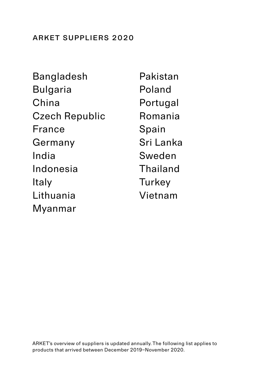### arket suppliers 2020

| Bangladesh            | Pakistan  |
|-----------------------|-----------|
| Bulgaria              | Poland    |
| China                 | Portugal  |
| <b>Czech Republic</b> | Romania   |
| France                | Spain     |
| Germany               | Sri Lanka |
| India                 | Sweden    |
| Indonesia             | Thailand  |
| Italy                 | Turkey    |
| Lithuania             | Vietnam   |
| Myanmar               |           |

ARKET's overview of suppliers is updated annually. The following list applies to products that arrived between December 2019–November 2020.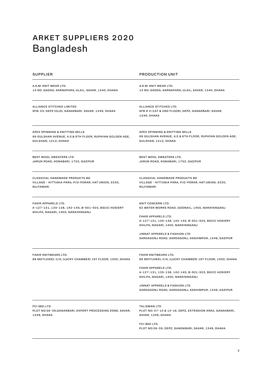# <span id="page-1-0"></span>arket suppliers 2020 Bangladesh

| SUPPLIER                                                                                                          | <b>PRODUCTION UNIT</b>                                                                                                                                                                                                                                                                                      |
|-------------------------------------------------------------------------------------------------------------------|-------------------------------------------------------------------------------------------------------------------------------------------------------------------------------------------------------------------------------------------------------------------------------------------------------------|
| A.K.M. KNIT WEAR LTD.<br>14 NO. GADDA, KARNAPARA, ULAIL, SAVAR, 1340, DHAKA                                       | A.K.M. KNIT WEAR LTD.<br>14 NO. GADDA, KARNAPARA, ULAIL, SAVAR, 1340, DHAKA                                                                                                                                                                                                                                 |
| ALLIANCE STITCHES LIMITED<br>SFB: 04, DEPZ (OLD), GANAKBARI, SAVAR, 1349, DHAKA                                   | ALLIANCE STITCHES LTD.<br>SFB # 4 (1ST & 2ND FLOOR), DEPZ, GANAKBARI, SAVAR,<br>1349, DHAKA                                                                                                                                                                                                                 |
| APEX SPINNING & KNITTING MILLS<br>99 GULSHAN AVENUE, 4,5 & 6TH FLOOR, RUPAYAN GOLDEN AGE,<br>GULSHAN, 1212, DHAKA | APEX SPINNING & KNITTING MILLS<br>99 GULSHAN AVENUE, 4,5 & 6TH FLOOR, RUPAYAN GOLDEN AGE,<br>GULSHAN, 1212, DHAKA                                                                                                                                                                                           |
| <b>BEST WOOL SWEATERS LTD</b><br>JARUN ROAD, KONABARI, 1753, GAZIPUR                                              | BEST WOOL SWEATERS LTD.<br>JARUN ROAD, KONABARI, 1753, GAZIPUR                                                                                                                                                                                                                                              |
| <b>CLASSICAL HANDMADE PRODUCTS BD</b><br>VILLAGE - KITTUNIA PARA, P/O-PORAR, HAT UNION, 5330,<br>NILFAMARI        | <b>CLASSICAL HANDMADE PRODUCTS BD</b><br>VILLAGE - KITTUNIA PARA, P/O-PORAR, HAT UNION, 5330,<br>NILFAMARI                                                                                                                                                                                                  |
| FAKIR APPARELS LTD.<br>A-127-131, 135-138, 142-145, B-501-503, BSCIC HOSIERY<br>SHILPA, NAGARI, 1400, NARAYANGANJ | KNIT CONCERN LTD.<br>62 WATER WORKS ROAD, GODNAIL, 1400, NARAYANGANJ<br>FAKIR APPARELS LTD.<br>A-127-131, 135-138, 142-145, B-501-503, BSCIC HOSIERY<br>SHILPA, NAGARI, 1400, NARAYANGANJ<br>JINNAT APPARELS & FASHION LTD<br>SARDAGONJ ROAD, SARDAGONJ, KASHIMPUR, 1349, GAZIPUR                           |
| <b>FAKIR KNITWEARS LTD.</b><br>89 MOTIJHEEL C/A, (LUCKY CHAMBER) 1ST FLOOR, 1000, DHAKA                           | <b>FAKIR KNITWEARS LTD.</b><br>89 MOTIJHEEL C/A, (LUCKY CHAMBER) 1ST FLOOR, 1000, DHAKA<br><b>FAKIR APPARELS LTD.</b><br>A-127-131, 135-138, 142-145, B-501-503, BSCIC HOSIERY<br>SHILPA, NAGARI, 1400, NARAYANGANJ<br>JINNAT APPARELS & FASHION LTD<br>SARDAGONJ ROAD, SARDAGONJ, KASHIMPUR, 1349, GAZIPUR |
| FCI (BD) LTD<br>PLOT NO:36-39, GANAKBARI, EXPORT PROCESSING ZONE, SAVAR,<br>1349, DHAKA                           | <b>TALISMAN LTD</b><br>PLOT NO: 07-10 & 13-16, DEPZ, EXTENSION AREA, GANAKBARI,<br>SAVAR, 1349, DHAKA<br>FCI (BD) LTD.<br>PLOT NO:36-39, DEPZ, GANOKBARI, SAVAR, 1349, DHAKA                                                                                                                                |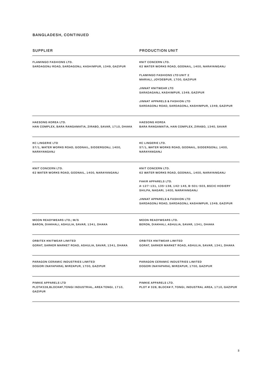### bangladesh, continued

| SUPPLIER                                                                               | <b>PRODUCTION UNIT</b>                                                                                            |
|----------------------------------------------------------------------------------------|-------------------------------------------------------------------------------------------------------------------|
| FLAMINGO FASHIONS LTD.                                                                 | KNIT CONCERN LTD.                                                                                                 |
| SARDAGONJ ROAD, SARDAGONJ, KASHIMPUR, 1349, GAZIPUR                                    | 62 WATER WORKS ROAD, GODNAIL, 1400, NARAYANGANJ                                                                   |
|                                                                                        | <b>FLAMINGO FASHIONS LTD UNIT 2</b><br>MARIALI, JOYDEBPUR, 1700, GAZIPUR                                          |
|                                                                                        | JINNAT KNITWEAR LTD<br>SARADAGANJ, KASHIMPUR, 1349, GAZIPUR                                                       |
|                                                                                        | JINNAT APPARELS & FASHION LTD<br>SARDAGONJ ROAD, SARDAGONJ, KASHIMPUR, 1349, GAZIPUR                              |
| <b>HAESONG KOREA LTD.</b>                                                              | <b>HAESONG KOREA</b>                                                                                              |
| HAN COMPLEX, BARA RANGAMATIA, ZIRABO, SAVAR, 1710, DHAKA                               | BARA RANGAMATIA, HAN COMPLEX, ZIRABO, 1340, SAVAR                                                                 |
| <b>KC LINGERIE LTD</b>                                                                 | KC LINGERIE LTD.                                                                                                  |
| 57/1, WATER WORKS ROAD, GODNAIL, SIDDERGONJ, 1400,                                     | 57/1, WATER WORKS ROAD, GODNAIL, SIDDERGONJ, 1400,                                                                |
| NARAYANGANJ                                                                            | NARAYANGANJ                                                                                                       |
| KNIT CONCERN LTD.                                                                      | KNIT CONCERN LTD.                                                                                                 |
| 62 WATER WORKS ROAD, GODNAIL, 1400, NARAYANGANJ                                        | 62 WATER WORKS ROAD, GODNAIL, 1400, NARAYANGANJ                                                                   |
|                                                                                        | FAKIR APPARELS LTD.<br>A-127-131, 135-138, 142-145, B-501-503, BSCIC HOSIERY<br>SHILPA, NAGARI, 1400, NARAYANGANJ |
|                                                                                        | JINNAT APPARELS & FASHION LTD<br>SARDAGONJ ROAD, SARDAGONJ, KASHIMPUR, 1349, GAZIPUR                              |
| MOON READYWEARS LTD.; M/S                                                              | MOON READYWEARS LTD.                                                                                              |
| BARON, DIAKHALI, ASHULIA, SAVAR, 1341, DHAKA                                           | BERON, DIAKHALI, ASHULIA, SAVAR, 1341, DHAKA                                                                      |
| ORBITEX KNITWEAR LIMITED                                                               | ORBITEX KNITWEAR LIMITED                                                                                          |
| GORAT, SARKER MARKET ROAD, ASHULIA, SAVAR, 1341, DHAKA                                 | GORAT, SARKER MARKET ROAD, ASHULIA, SAVAR, 1341, DHAKA                                                            |
| PARAGON CERAMIC INDUSTRIES LIMITED                                                     | PARAGON CERAMIC INDUSTRIES LIMITED                                                                                |
| DOGORI (NAYAPARA), MIRZAPUR, 1700, GAZIPUR                                             | DOGORI (NAYAPARA), MIRZAPUR, 1700, GAZIPUR                                                                        |
| PIMKIE APPARELS LTD<br>PLOT#328,BLOCK#F,TONGI INDUSTRIAL, AREA TONGI, 1710,<br>GAZIPUR | PIMKIE APPARELS LTD.<br>PLOT # 328, BLOCK# F, TONGI, INDUSTRAL AREA, 1710, GAZIPUR                                |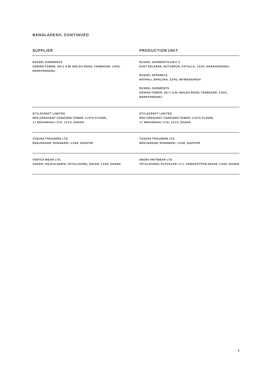### bangladesh, continued

|  | <b>SUPPLIER</b> |
|--|-----------------|
|  |                 |

RUSSEL GARMENTS OSMAN TOWER, 56/1 S.M. MALEH ROAD, TANBAZAR, 1400, NARAYANGONJ

### **PRODUCTION UNIT**

RUSSEL GARMENTS UNIT-2 EAST DELPARA, KUTUBPUR, FATULLA, 1420, NARAYANGONJ

Russel Apparels KATHALI, BHALUKA, 2240, MYMENSINGH

RUSSEL GARMENTS OSMAN TOWER, 56/1 S.M. MALEH ROAD, TANBAZAR, 1400, NARAYANGONJ

STYLECRAFT LIMITED RED CRESCENT CONCORD TOWER, (14TH FLOOR), 17 MOHAKHALI C/A, 1212, DHAKA

STYLECRAFT LIMITED RED CRESCENT CONCORD TOWER, (14TH FLOOR), 17 MOHAKHALI C/A, 1212, DHAKA

TUSUKA TROUSERS LTD NEELNAGAR, KONABARI, 1346, GAZIPUR TUSUKA TROUSERS LTD NEELNAGAR, KONABARI, 1346, GAZIPUR

VERTEX WEAR LTD. VARARI, RAJFULBARIA, TETULJHORA, SAVAR, 1340, DHAKA ABONI KNITWEAR LTD TETULZHORA, PLOT#169-171, HEMAYETPUR,SAVAR, 1340, DHAKA

4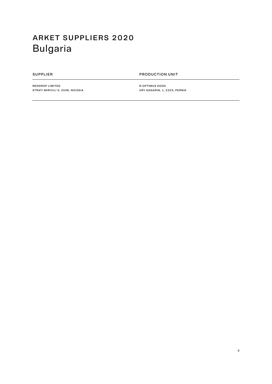# <span id="page-4-0"></span>arket suppliers 2020 Bulgaria

SUPPLIER PRODUCTION UNIT

REDDROP LIMITED STRATI MIRIVILI 5, 2046, NICOSIA N OPTIMUS EOOD URY GAGARIN, 1, 2303, PERNIK

5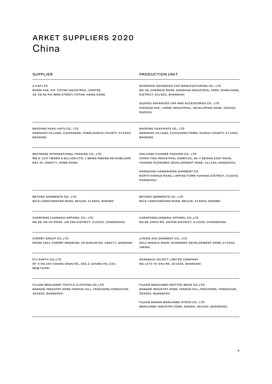## <span id="page-5-0"></span>arket suppliers 2020 China

| <b>SUPPLIER</b>                                                                                                                         | <b>PRODUCTION UNIT</b>                                                                                                                          |
|-----------------------------------------------------------------------------------------------------------------------------------------|-------------------------------------------------------------------------------------------------------------------------------------------------|
| A CAP LTD<br>ROOM 406, 4/F, FOTAN INDUSTRIAL, CENTRE,<br>26-28 AU PUI WAN STREET, FOTAN, HONG KONG                                      | SHANGHAI ADVANCED CAP MANUFACTURING CO., LTD<br>NO 28, CHENGYE ROAD, SHESHAN INDUSTRIAL PARK, SONGJIANG,<br>DISTRICT, 201602, SHANGHAI          |
|                                                                                                                                         | SUZHOU ADVANCED CAP AND ACCESSORIES CO., LTD<br>XIAOGUO AVE, LINGBI INDUSTRIAL, DEVELOPING ZONE, 200000,<br><b>SUZHOU</b>                       |
| <b>BAODING HUAYI HATS CO., LTD</b><br>NANSHAO VILLAGE, CUIZHUANG, TOWN, XUSHUI COUNTY, 072550,<br><b>BAODING</b>                        | <b>BAODING HUAYIHATS CO., LTD</b><br>NANSHAO VILLAGE, CUIZHUANG TOWN, XUSHUI COUNTY, 071000,<br><b>BAODING</b>                                  |
| BESTBASE INTERNATIONAL TRADING CO., LTD.<br>RM D 10/F TWOER A BILLION CTR, 1 WANG KWONG RD KOWLOON<br><b>BAY, KL, 999077, HONG KONG</b> | ZHEJIANG FUHOWE FASHION CO., LTD<br>CHINA TING INDUSTRIAL COMPLEX, 56-7 BEISHA EAST ROAD,<br>YUHANG ECONOMIC DEVELOPMENT ZONE, 311100, HANGZHOU |
|                                                                                                                                         | HANGZHOU HANGSHENG GARMENT CO<br>NORTH XINHUA ROAD, LINPING TOWN YUHANG DISTRICT, 310000,<br>HANGZHOU                                           |
| BEYOND GARMENTS CO., LTD<br>NO.8 LONGTANSHAN ROAD, BEILUN, 315800, NINGBO                                                               | BEYOND GARMENTS CO., LTD<br>NO.8 LONGTANSHAN ROAD, BEILUN, 315800, NINGBO                                                                       |
| CHENFENG (JIANGSU) APPAREL CO., LTD<br>NO 99 JIN HU ROAD, JIN TAN DISTRICT, 213200, CHANGZHOU                                           | CHENFENG(JIANGSU) APPAREL CO.,LTD<br>NO.99 JINHU RD, JINTAN DISTRICT, 213200, CHANGZHOU                                                         |
| <b>CHERRY GROUP CO., LTD</b><br>ROOM 2501 CHERRY MANSION, 2# NANJIN RD, 266071, QINGDAO                                                 | JI'NING AISI GARMENT CO., LTD.<br>SHIJI MIDDLE ROAD, ECONOMIC DEVELOPMENT ZONE, 272000,<br><b>JINING</b>                                        |
| FLY EARTH CO.,LTD.<br>6F-4 NO.255 CHUNG SHAN RD., SEC.2. CHUNG HO, 220,<br><b>NEW TAIPEI</b>                                            | SHANGHAI CELEFIT LIMITED COMPANY<br>NO.1370 YU SHU RD, 201620, SHANGHAI                                                                         |
| FUJIAN WANJIAMEI TEXTILE CLOTHING CO.,LTD<br>BANGDE INDUSTRY ZONE, TANHUA HILL, TAOCHENG, YONGCHUN,<br>362600, QUANZHOU                 | FUJIAN WANJIAMEI KNITTED WEAR CO.,LTD<br>BANGDE INDUSTRY ZONE, TANHUA HILL, TAOCHENG, YONGCHUN,<br>362600, QUANZHOU                             |
|                                                                                                                                         | FUJIAN NANAN WANJIAMEI STOCK CO., LTD<br>WANJIAMEI INDUSTRY ZONE, NANAN, 362300, QUANZHOU                                                       |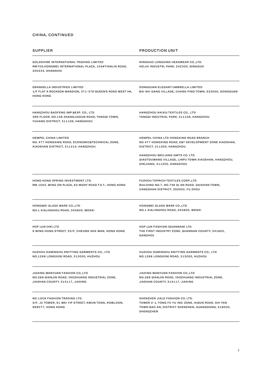| <b>SUPPLIER</b>                                                                                                              | <b>PRODUCTION UNIT</b>                                                                                                                                     |
|------------------------------------------------------------------------------------------------------------------------------|------------------------------------------------------------------------------------------------------------------------------------------------------------|
| GOLDSHINE INTERNATIONAL TRADING LIMITED<br>RM705, HONGMEI INTERNATIONAL PLAZA, 105#TIANLIN ROAD,<br>200233, SHANGHAI         | NINGGUO LONGXING HEADWEAR CO., LTD.<br>HELIXI INDUSTRL PARK, 242300, NINGGUO                                                                               |
| <b>GRANDELLA INDUSTRIES LIMITED</b><br>1/F FLAT A ROCKSON MANSION, 371-379 QUEEN'S ROAD WEST HK,<br><b>HONG KONG</b>         | DONGGUAN ELEGANT UMBRELLA LIMITED<br>BAI SHI GANG VILLAGE, CHANG PING TOWN, 523000, DONGGUAN                                                               |
| HANGZHOU BAOFENG IMP.&EXP. CO., LTD<br>3RD FLOOR, NO.158 ZHANGJIADUN ROAD, TANGQI TOWN,<br>YUHANG DISTRICT, 311106, HANGZHOU | HANGZHOU KAIXIU TEXTILES CO., LTD<br>TANGQI INDUTRIAL PARK, 311106, HANGZHOU                                                                               |
| <b>HEMPEL CHINA LIMITED</b><br>NO. 477 HONGXING ROAD, ECONOMIC&TECHNICAL ZONE,<br>XIAOSHAN DISTRICT, 311215, HANGZHOU        | HEMPEL CHINA LTD HONGXING ROAD BRANCH<br>NO 477 HONGXING ROAD, E&T DEVELOPMENT ZONE XIAOSHAN,<br>DISTRICT, 311200, HANGZHOU                                |
|                                                                                                                              | HANGZHOU WEILIANG GMTS CO. LTD.<br>QIAOTOUWANG VILLAGE, LINPU TOWN XIAOSHAN, HANGZHOU,<br>ZHEJIANG, 311200, HANGZHOU                                       |
| HONG KONG SPRING INVESTMENT LTD.<br>RM 1003, WING ON PLAZA, 62 MODY ROAD T.S.T., HONG KONG                                   | <b>FUZHOU TOPRICH TEXTILES CORP.,LTD</b><br>BUILDING NO.7, NO.756 QI AN ROAD, GAISHAN TOWN,<br>CANGSHAN DISTRICT, 350002, FU ZHOU                          |
| HONGWEI GLASS WARE CO.,LTD<br>NO.1 XIALINGHOU ROAD, 043800, WENXI                                                            | HONGWEI GLASS WARE CO., LTD<br>NO.1 XIALINGHOU ROAD, 043800, WENXI                                                                                         |
| HOP LUN (HK) LTD<br>9 WING HONG STREET, 32/F, CHEUNG SHA WAN, HONG KONG                                                      | HOP LUN FASHION (QUANNAN) LTD.<br>THE FIRST INDUSTRY ZONE, QUANNAN COUNTY, 341800,<br><b>GANZHOU</b>                                                       |
| HUZHOU DAMINGHU KNITTING GARMENTS CO., LTD<br>NO.1268 LONGXI(N) ROAD, 313000, HUZHOU                                         | HUZHOU DAMINGHU KNITTING GARMENTS CO., LTD<br>NO.1268 LONGXI(N) ROAD, 313000, HUZHOU                                                                       |
| JIAXING WANYUAN FASHION CO.,LTD<br>NO.268 QIANJIN ROAD, YAOZHUANG INDUSTRIAL ZONE,<br>JIASHAN COUNTY, 314117, JIAXING        | JIAXING WANYUAN FASHION CO.,LTD<br>NO.268 QIANJIN ROAD, YAOZHUANG INDUSTRIAL ZONE,<br>JIASHAN COUNTY, 314117, JIAXING                                      |
| KEI LOCK FASHION TRADING LTD.<br>5/F, JC TOWER, 91 WAI YIP STREET, KWUN TONG, KOWLOON,<br>999077, HONG KONG                  | SHENZHEN JIALE FASHION CO. LTD.<br>TOWER 2-1, TONG FU YU IND. ZONE, AIQUN ROAD, SHI YAN<br>TOWN BAO AN, DISTRICT SHENZHEN, GUANGDONG, 518000,<br>SHENGZHEN |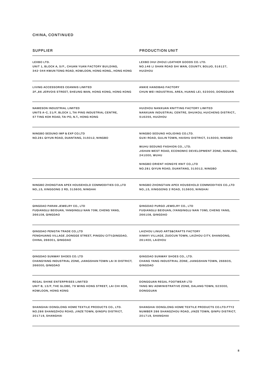| <b>SUPPLIER</b>                                            | <b>PRODUCTION UNIT</b>                                                                                 |
|------------------------------------------------------------|--------------------------------------------------------------------------------------------------------|
| LEXBO LTD.                                                 | LEXBO (HUI ZHOU) LEATHER GOODS CO. LTD.                                                                |
| UNIT 1, BLOCK A, 5/F., CHUAN YUAN FACTORY BUILDING,        | NO.146 LI SHAN ROAD SHI WAN, COUNTY, BOLUO, 516127,                                                    |
| 342-344 KWUN TONG ROAD, KOWLOON, HONG KONG., HONG KONG     | HUIZHOU                                                                                                |
| LIVING ACCESSORIES CEANNIS LIMITED                         | ANKIE HANDBAG FACTORY                                                                                  |
| 2F.,86 JERVOIS STREET, SHEUNG WAN, HONG KONG, HONG KONG    | CHUN WEI INDUSTRIAL AREA, HUANG LEI, 523000, DONGGUAN                                                  |
| <b>NAMESON INDUSTRIAL LIMITED</b>                          | HUIZHOU NANXUAN KNITTING FACTORY LIMITED                                                               |
| UNITS A-C, 21/F, BLOCK 1, TAI PING INDUSTRIAL CENTRE,      | NANXUAN INDUSTRIAL CENTRE, SHUIKOU, HUICHENG DISTRICT.,                                                |
| 57 TING KOK ROAD, TAI PO, N.T., HONG KONG                  | 516255, HUIZHOU                                                                                        |
| NINGBO SEDUNO IMP & EXP CO.LTD                             | NINGBO SEDUNO HOLIDING CO.LTD.                                                                         |
| NO.281 QIYUN ROAD, DUANTANG, 315012, NINGBO                | GUXI ROAD, GULIN TOWN, HAISHU DISTRICT, 315000, NINGBO                                                 |
|                                                            | WUHU SEDUNO FASHION CO., LTD.<br>JISHAN WEST ROAD, ECONOMIC DEVELOPMENT ZONE, NANLING,<br>241000, WUHU |
|                                                            | NINGBO ORIENT HONGYE KNIT CO., LTD<br>NO.281 QIYUN ROAD, DUANTANG, 315012, NINGBO                      |
| NINGBO ZHONGTIAN APEX HOUSEHOLD COMMODITIES CO., LTD       | NINGBO ZHONGTIAN APEX HOUSEHOLD COMMODITIES CO.,LTD                                                    |
| NO.,15, XINGGONG 2 RD, 315600, NINGHAI                     | NO.,15, XINGGONG 2 ROAD, 315600, NINGHAI                                                               |
| QINGDAO PARAN JEWELRY CO., LTD                             | QINGDAO PURGO JEWELRY CO., LTD                                                                         |
| FUQIANGLU BEIDUAN, YANQINGLU NAN 70M, CHENG YANG,          | FUQIANGLU BEIDUAN, (YANQINGLU NAN 70M), CHENG YANG,                                                    |
| 266108, QINGDAO                                            | 266108, QINGDAO                                                                                        |
| QINGDAO PENGTAI TRADE CO.,LTD                              | LAIZHOU LINUO ARTS&CRAFTS FACTORY                                                                      |
| FENGHUANG VILLAGE, DONGGE STREET, PINGDU CITY, QINGDAO,    | XIMAYI VILLAGE, ZUOCUN TOWN, LAIZHOU CITY, SHANDONG,                                                   |
| CHINA, 266001, QINGDAO                                     | 261400, LAIZHOU                                                                                        |
| QINGDAO SUNWAY SHOES CO. LTD                               | QINGDAO SUNWAY SHOES CO., LTD.                                                                         |
| CHANGYANG INDUSTRIAL ZONE, JIANGSHAN TOWN LAI XI DISTRICT, | CHANG YANG INDUSTRIAL ZONE, JIANGSHAN TOWN, 266605,                                                    |
| 266000, QINGDAO                                            | QINGDAO                                                                                                |
| REGAL SHINE ENTERPRISES LIMITED                            | DONGGUAN REGAL FOOTWEAR LTD                                                                            |
| UNIT B, 13/F, THE GLOBE, 79 WING HONG STREET, LAI CHI KOK, | YANG WU ADMINISTRATIVE ZONE, DALANG TOWN, 523000,                                                      |
| KOWLOON, HONG KONG                                         | DONGGUAN                                                                                               |
| SHANGHAI DONGLONG HOME TEXTILE PRODUCTS CO., LTD.          | SHANGHAI DONGLONG HOME TEXTILE PRODUCTS CO.LTD.FTY2                                                    |
| NO.286 SHANGZHOU ROAD, JINZE TOWN, QINGPU DISTRICT,        | NUMBER 286 SHANGZHOU ROAD, JINZE TOWN, QINPU DISTRICT,                                                 |
| 201719, SHANGHAI                                           | 201719, SHANGHAI                                                                                       |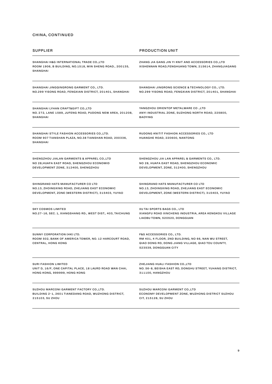| SUPPLIER                                                                                                         | <b>PRODUCTION UNIT</b>                                                                                                                                                      |
|------------------------------------------------------------------------------------------------------------------|-----------------------------------------------------------------------------------------------------------------------------------------------------------------------------|
| SHANGHAI H&G INTERNATIONAL TRADE CO.,LTD<br>ROOM 1906, B BUILDING, NO.1518, MIN SHENG ROAD., 200135,<br>SHANGHAI | ZHANG JIA GANG JIN YI KNIT AND ACCESSORIES CO.,LTD<br>XISHENNAN ROAD, FENGHUANG TOWN, 215614, ZHANGJIAGANG                                                                  |
| SHANGHAI JINGQINGRONG GARMENT CO., LTD.                                                                          | SHANGHAI JINGRONG SCIENCE & TECHNOLOGY CO., LTD.                                                                                                                            |
| NO.299 YISONG ROAD, FENGXIAN DISTRICT, 201401, SHANGHAI                                                          | NO.299 YISONG ROAD, FENGXIAN DISTRICT, 201401, SHANGHAI                                                                                                                     |
| SHANGHAI LYHAN CRAFT&GIFT CO.,LTD                                                                                | YANGZHOU ORIENTOP METALWARE CO., LTD                                                                                                                                        |
| NO. 272, LANE 1589, JUFENG ROAD, PUDONG NEW AREA, 201208,                                                        | ANYI INDUSTRIAL ZONE, SUZHONG NORTH ROAD, 225800,                                                                                                                           |
| <b>SHANGHAI</b>                                                                                                  | <b>BAOYING</b>                                                                                                                                                              |
| SHANGHAI STYLE FASHION ACCESSORIES CO.,LTD.<br>ROOM 907 TIANSHAN PLAZA, NO.38 TIANSHAN ROAD, 200336,<br>SHANGHAI | RUDONG KNITIT FASHION ACCESSORIES CO., LTD<br>HUANGHE ROAD, 220600, NANTONG                                                                                                 |
| SHENGZHOU JIALAN GARMENTS & APPAREL CO.,LTD                                                                      | SHENGZHOU JIA LAN APPAREL & GARMENTS CO., LTD.                                                                                                                              |
| NO 28, HUAFA EAST ROAD, SHENGZHOU ECONOMID                                                                       | NO 28, HUAFA EAST ROAD, SHENGZHOU ECONOMIC                                                                                                                                  |
| DEVELOPMENT ZONE, 312400, SHENGZHOU                                                                              | DEVELOPMENT, ZONE, 312400, SHENGZHOU                                                                                                                                        |
| SHINGRAND HATS MANUFACTURER CO LTD                                                                               | SHINGRAND HATS MANUFACTURER CO LTD                                                                                                                                          |
| NO.13, ZHOINGXING ROAD, ZHEJIANG EAST ECONOMIC                                                                   | NO.13, ZHOINGXING ROAD, ZHEJIANG EAST ECONOMIC                                                                                                                              |
| DEVELOPMENT, ZONE (WESTERN DISTRICT), 315403, YUYAO                                                              | DEVELOPMENT, ZONE (WESTERN DISTRICT), 315403, YUYAO                                                                                                                         |
| <b>SKY COSMOS LIMITED</b><br>NO.27-16, SEC. 1, XIANGSHANG RD., WEST DIST., 403, TAICHUNG                         | XU TAI SPORTS BAGS CO., LTD<br>XIANGFU ROAD XINCHENG INDUSTRIA, AREA KENGKOU VILLAGE<br>LIAOBU TOWN, 520520, DONGGUAN                                                       |
| SUNNY CORPORATION (HK) LTD.<br>ROOM 502, BANK OF AMERICA TOWER, NO. 12 HARCOURT ROAD,<br>CENTRAL, HONG KONG      | <b>F&amp;S ACCESSORIES CO., LTD.</b><br>RM 401, 4 FLOOR, 2ND BUILDING, NO 66, NAN WU STREET,<br>QIAO DONG RD, DONG JIANG VILLAGE, QIAO TOU COUNTY,<br>523539, DONGGUAN CITY |
| SURI FASHION LIMITED                                                                                             | ZHEJIANG HUALI FASHION CO., LTD                                                                                                                                             |
| UNIT D, 16/F, ONE CAPITAL PLACE, 18 LAURD ROAD WAN CHAI,                                                         | NO. 56-8, BEISHA EAST RD, DONGHU STREET, YUHANG DISTRICT,                                                                                                                   |
| HONG KONG, 999999, HONG KONG                                                                                     | 311100, HANGZHOU                                                                                                                                                            |
| SUZHOU MARCONI GARMENT FACTORY CO.,LTD.                                                                          | SUZHOU MARCONI GARMENT CO.,LTD                                                                                                                                              |
| BUILDING 2-1, 2601 TIANEDANG ROAD, WUZHONG DISTRICT,                                                             | ECONOMY DEVELOPMENT ZONE, WUZHONG DISTRICT SUZHOU                                                                                                                           |
| 215103, SU ZHOU                                                                                                  | CIT, 215128, SU ZHOU                                                                                                                                                        |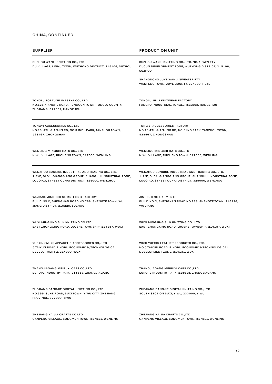| SUPPLIER                                                                                                                         | <b>PRODUCTION UNIT</b>                                                                                       |
|----------------------------------------------------------------------------------------------------------------------------------|--------------------------------------------------------------------------------------------------------------|
| SUZHOU WANLI KNITTING CO., LTD<br>DU VILLAGE, LINHU TOWN, WUZHONG DISTRICT, 215106, SUZHOU                                       | SUZHOU WANLI KNITTING CO., LTD. NO. 1 OWN FTY<br>DUCUN DEVELOPMENT ZONE, WUZHONG DISTRICT, 215106,<br>SUZHOU |
|                                                                                                                                  | SHANGDONG JUYE WANLI SWEATER FTY<br>WANFENG TOWN, JUYE COUNTY, 274000, HEZE                                  |
| TONGLU FORTUNE IMP&EXP CO., LTD.<br>NO.128 XIANGHE ROAD, HENGCUN TOWN, TONGLU COUNTY,<br>ZHEJIANG, 311502, HANGZHOU              | TONGLU JINLI KNITWEAR FACTORY<br>FANGPU INDUSTRIAL, TONGLU, 311502, HANGZHOU                                 |
| TONGYI ACCESSORIES CO., LTD                                                                                                      | TONG YI ACCESSORIES FACTORY                                                                                  |
| NO.18, 4TH QIANJIN RD, NO.3 INDU.PARK, TANZHOU TOWN,                                                                             | NO.18,4TH QIANJING RD, NO,3 IND PARK, TANZHOU TOWN,                                                          |
| 528467, ZHONGSHAN                                                                                                                | 528467, Z HONGSHAN                                                                                           |
| WENLING MINGSHI HATS CO., LTD                                                                                                    | WENLING MINGSHI HATS CO., LTD                                                                                |
| NIWU VILLAGE, RUOHENG TOWN, 317508, WENLING                                                                                      | NIWU VILLAGE, RUOHENG TOWN, 317508, WENLING                                                                  |
| WENZHOU SUNRISE INDUSTRIAL AND TRADING CO., LTD.                                                                                 | WENZHOU SUNRISE INDUSTRIAL AND TRADING CO., LTD.                                                             |
| 1-2/F, BLD1, QIANGQIANG GROUP, SHANGHUI INDUSTRIAL ZONE,                                                                         | 1-2/F, BLD1, QIANGQIANG GROUP, SHANGHUI INDUSTRIAL ZONE,                                                     |
| LOUQIAO, STREET OUHAI DISTRICT, 325000, WENZHOU                                                                                  | LOUQIAO, STREET OUHAI DISTRICT, 325000, WENZHOU                                                              |
| WUJIANG JIMEISHENG KNITTING FACTORY                                                                                              | <b>JIMEISHENG GARMENTS</b>                                                                                   |
| BUILDING C, SHENGNAN ROAD NO.788, SHENGZE TOWN, WU                                                                               | BUILDING C, SHENGNAN ROAD NO.788, SHENGZE TOWN, 215226,                                                      |
| JIANG DISTRICT, 215228, SUZHOU                                                                                                   | <b>WU JIANG</b>                                                                                              |
| WUXI MINGJING SILK KNITTING CO.LTD.                                                                                              | WUXI MINGJING SILK KNITTING CO., LTD.                                                                        |
| EAST ZHONGXING ROAD, LUOSHE TOWNSHIP, 214187, WUXI                                                                               | EAST ZHONGXING ROAD, LUOSHE TOWNSHIP, 214187, WUXI                                                           |
| YUEXIN (WUXI) APPAREL & ACCESSORIES CO,. LTD                                                                                     | WUXI YUEXIN LEATHER PRODUCTS CO., LTD.                                                                       |
| 5 TAIYUN ROAD,BINGHU ECONOMIC &, TECHNOLOGICAL                                                                                   | NO.5 TAIYUN ROAD, BINGHU ECONOMIC & TECHNOLOGICAL,                                                           |
| DEVELOPMENT Z, 214000, WUXI                                                                                                      | DEVELOPMENT ZONE, 214131, WUXI                                                                               |
| ZHANGJIAGANG MEIRUYI CAPS CO.,LTD.                                                                                               | ZHANGJIAGANG MEIRUYI CAPS CO.,LTD.                                                                           |
| EUROPE INDUSTRY PARK, 215618, ZHANGJIAGANG                                                                                       | EUROPE INDUSTRY PARK, 215618, ZHANGJIAGANG                                                                   |
| ZHEJIANG BANGJIE DIGITAL KNITTING CO., LTD<br>NO.399, SUHE ROAD, SUXI TOWN, YIWU CITY, ZHEJIANG<br><b>PROVINCE, 322009, YIWU</b> | ZHEJIANG BANGJIE DIGITAL KNITTING CO., LTD<br>SOUTH SECTION SUXI, YIWU, 233000, YIWU                         |
| ZHEJIANG KAIJIA CRAFTS CO LTD                                                                                                    | ZHEJIANG KAIJIA CRAFTS CO., LTD                                                                              |
| GANPENG VILLAGE, SONGMEN TOWN, 317511, WENLING                                                                                   | GANPENG VILLAGE SONGMEN TOWN, 317511, WENLING                                                                |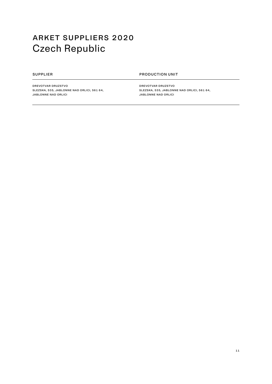# <span id="page-10-0"></span>arket suppliers 2020 Czech Republic

SUPPLIER **PRODUCTION UNIT** 

Drevotvar druzstvo SLEZSKA, 535, JABLONNE NAD ORLICI, 561 64, JABLONNE NAD ORLICI

Drevotvar druzstvo SLEZSKA, 535, JABLONNE NAD ORLICI, 561 64, JABLONNE NAD ORLICI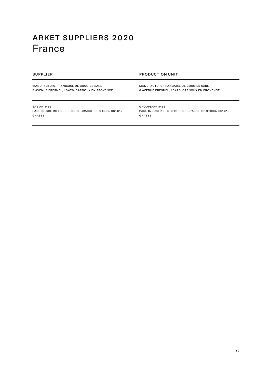## <span id="page-11-0"></span>arket suppliers 2020 France

MANUFACTURE FRANCAISE DE BOUGIES SARL

supplier production unit

6 AVENUE FRESNEL, 13470, CARNOUX EN PROVENCE

MANUFACTURE FRANCAISE DE BOUGIES SARL 6 AVENUE FRESNEL, 13470, CARNOUX EN PROVENCE

SAS Arthes

PARC INDUSTRIEL DES BOIS DE GRASSE, BP 91006, 06131, GRASSE

Groupe-Arthes PARC INDUSTRIEL DES BOIS DE GRASSE, BP 91006, 06131, GRASSE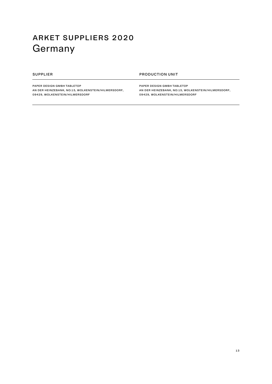# <span id="page-12-0"></span>arket suppliers 2020 Germany

### SUPPLIER PRODUCTION UNIT

PAPER DESIGN GMBH TABLETOP AN DER HEINZEBANK, NO:15, WOLKENSTEIN/HILMERSDORF, 09429, WOLKENSTEIN/HILMERSDORF

Paper Design GmbH Tabletop AN DER HEINZEBANK, NO:15, WOLKENSTEIN/HILMERSDORF, 09429, WOLKENSTEIN/HILMERSDORF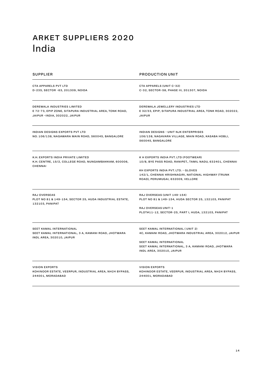## <span id="page-13-0"></span>arket suppliers 2020 India

| SUPPLIER                                                                                                                        | <b>PRODUCTION UNIT</b>                                                                                                                                                                                                                 |
|---------------------------------------------------------------------------------------------------------------------------------|----------------------------------------------------------------------------------------------------------------------------------------------------------------------------------------------------------------------------------------|
| CTA APPARELS PVT LTD<br>D-235, SECTOR -63, 201309, NOIDA                                                                        | CTA APPARELS (UNIT C-32)<br>C-32, SECTOR-58, PHASE III, 201307, NOIDA                                                                                                                                                                  |
| <b>DEREWALA INDUSTRIES LIMITED</b><br>E 72-73, EPIP ZONE, SITAPURA INDUSTRIAL AREA, TONK ROAD,<br>JAIPUR -INDIA, 302022, JAIPUR | DEREWALA JEWELLERY INDUSTRIES LTD<br>E 32/33, EPIP, SITAPURA INDUSTRIAL AREA, TONK ROAD, 302022,<br><b>JAIPUR</b>                                                                                                                      |
| INDIAN DESIGNS EXPORTS PVT LTD<br>NO. 106/138, NAGAWARA MAIN ROAD, 560045, BANGALORE                                            | <b>INDIAN DESIGNS - UNIT NJK ENTERPRISES</b><br>106/138, NAGAVARA VILLAGE, MAIN ROAD, KASABA HOBLI,<br>560045, BANGALORE                                                                                                               |
| K.H. EXPORTS INDIA PRIVATE LIMITED<br>K.H. CENTRE, 15/2, COLLEGE ROAD, NUNGAMBAKKAM, 600006,<br><b>CHENNAI</b>                  | K H EXPORTS INDIA PVT. LTD (FOOTWEAR)<br>10/8, BYE PASS ROAD, RANIPET., TAMIL NADU, 632401, CHENNAI<br>KH EXPORTS INDIA PVT. LTD. - GLOVES<br>142/1, CHENNAI KRISHNAGIRI, NATIONAL HIGHWAY (TRUNK<br>ROAD), PERUMUGAI, 632009, VELLORE |
| <b>RAJ OVERSEAS</b><br>PLOT NO 81 & 149-154, SECTOR 25, HUDA INDUSTRIAL ESTATE,<br>132103, PANIPAT                              | RAJ OVERSEAS (UNIT 149-154)<br>PLOT NO 81 & 149-154, HUDA SECTOR 25, 132103, PANIPAT<br><b>RAJ OVERSEAS UNIT-1</b><br>PLOT#11-12, SECTOR-25, PART I, HUDA, 132103, PANIPAT                                                             |
| SEET KAMAL INTERNATIONAL<br>SEET KAMAL INTERNATIONAL, 3 A, KAMANI ROAD, JHOTWARA<br>INDL AREA, 302010, JAIPUR                   | SEET KAMAL INTERNATIONAL (UNIT 2)<br>4C, KAMANI ROAD, JHOTWARA INDUSTRIAL AREA, 302012, JAIPUR<br>SEET KAMAL INTERNATIONAL<br>SEET KAMAL INTERNATIONAL, 3 A, KAMANI ROAD, JHOTWARA<br>INDL AREA, 302010, JAIPUR                        |
| VISION EXPORTS<br>KOHINOOR ESTATE, VEERPUR, INDUSTRIAL AREA, NH24 BYPASS,<br>244001, MORADABAD                                  | <b>VISION EXPORTS</b><br>KOHINOOR ESTATE, VEERPUR, INDUSTRIAL AREA, NH24 BYPASS,<br>244001, MORADABAD                                                                                                                                  |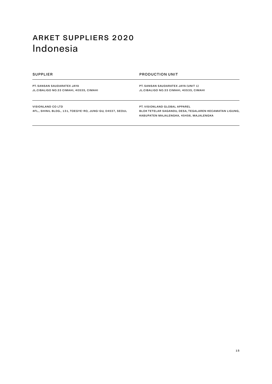## <span id="page-14-0"></span>arket suppliers 2020 Indonesia

### supplier production unit

PT. Sansan Saudaratex Jaya JL.CIBALIGO NO.33 CIMAHI, 40535, CIMAHI

PT. Sansan Saudaratex Jaya (unit 1) JL.CIBALIGO NO.33 CIMAHI, 40535, CIMAHI

VISIONLAND CO LTD 4FL., SHINIL BLDG., 131, TOEGYE-RO, JUNG-GU, 04537, SEOUL PT. Visionland Global Apparel BLOK TETELAR SAGANDU, DESA, TEGALAREN KECAMATAN LIGUNG, KABUPATEN MAJALENGKA, 45456, MAJALENGKA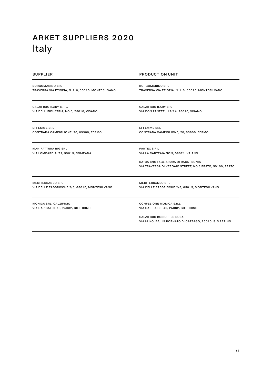# <span id="page-15-0"></span>arket suppliers 2020 Italy

| <b>SUPPLIER</b>                                   | <b>PRODUCTION UNIT</b>                                   |
|---------------------------------------------------|----------------------------------------------------------|
| <b>BORGOMARINO SRL</b>                            | <b>BORGOMARINO SRL</b>                                   |
| TRAVERSA VIA ETIOPIA, N. 1-6, 65015, MONTESILVANO | TRAVERSA VIA ETIOPIA, N. 1-6, 65015, MONTESILVANO        |
| CALZIFICIO ILARY S.R.L.                           | <b>CALZIFICIO ILARY SRL</b>                              |
| VIA DELL INDUSTRIA, NO:6, 25010, VISANO           | VIA DON ZANETTI, 12/14, 25010, VISANO                    |
| <b>EFFEMME SRL</b>                                | <b>EFFEMME SRL</b>                                       |
| CONTRADA CAMPIGLIONE, 20, 63900, FERMO            | CONTRADA CAMPIGLIONE, 20, 63900, FERMO                   |
| <b>MANIFATTURA BIG SRL</b>                        | <b>FARTEX S.R.L</b>                                      |
| VIA LOMBARDIA, 72, 59015, COMEANA                 | VIA LA CARTEAIA NO:3, 59021, VAIANO                      |
|                                                   | RA-CA SNC TAGLIARURA DI RAONI SONIA                      |
|                                                   | VIA TRAVERSA DI VERGAIO STREET, NO:8 PRATO, 59100, PRATO |
| <b>MEDITERRANEO SRL</b>                           | <b>MEDITERRANEO SRL</b>                                  |
| VIA DELLE FABBRICCHE 2/3, 65015, MONTESILVANO     | VIA DELLE FABBRICCHE 2/3, 65015, MONTESILVANO            |
| MONICA SRL; CALZIFICIO                            | CONFEZIONE MONICA S.R.L.                                 |
| VIA GARIBALDI, 40, 25082, BOTTICINO               | VIA GARIBALDI, 40, 25082, BOTTICINO                      |
|                                                   | <b>CALZIFICIO BOSIO PIER ROSA</b>                        |
|                                                   | VIA M. KOLBE, 19 BORNATO DI CAZZAGO, 25010, S. MARTINO   |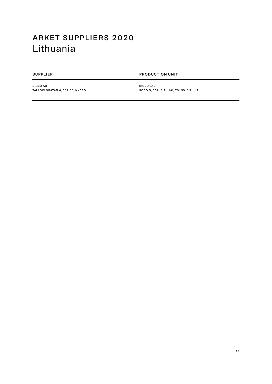## <span id="page-16-0"></span>arket suppliers 2020 Lithuania

### SUPPLIER PRODUCTION UNIT

BIGSO AB TALLGOLSGATAN 4, 382 36, NYBRO BIGSO UAB SODO G, 30A, SIAULIAI, 79159, SIAULIAI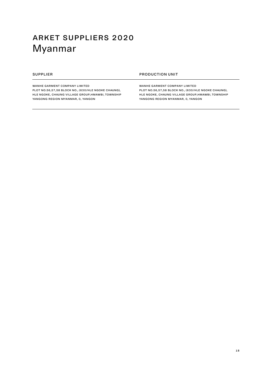# <span id="page-17-0"></span>arket suppliers 2020 Myanmar

WANHE GARMENT COMPANY LIMITED

PLOT NO.56,57,58 BLOCK NO., (630/HLE NGOKE CHAUNG), HLE NGOKE, CHAUNG VILLAGE GROUP,HMAWBI, TOWNSHIP YANGONG REGION MYANMAR, 0, YANGON

### SUPPLIER **PRODUCTION UNIT**

WANHE GARMENT COMPANY LIMITED PLOT NO.56,57,58 BLOCK NO., (630/HLE NGOKE CHAUNG), HLE NGOKE, CHAUNG VILLAGE GROUP,HMAWBI, TOWNSHIP YANGONG REGION MYANMAR, 0, YANGON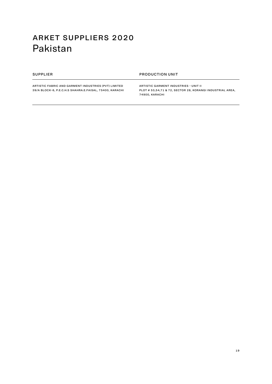## <span id="page-18-0"></span>arket suppliers 2020 Pakistan

### SUPPLIER **PRODUCTION UNIT**

Artistic Fabric and Garment Industries (Pvt) Limited 39/A BLOCK-6, P.E.C.H.S SHAHRA.E.FAISAL, 75400, KARACHI Artistic Garment Industries - Unit II PLOT # 53,54,71 & 72, SECTOR 28, KORANGI INDUSTRIAL AREA, 74900, KARACHI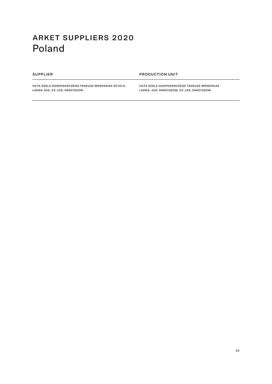## <span id="page-19-0"></span>arket suppliers 2020 Poland

### SUPPLIER PRODUCTION UNIT

HUTA SZKLA GOSPODARCZEGO TADEUSZ WRZESNIAK SP.ZO.O. LADNA 30A, 33-156, SKRZYSZOW

Huta Szkla Gospodarczego Tadeusz Wrzesniak LADNA, 30A, SKRZYSZOW, 33-156, SKRZYSZOW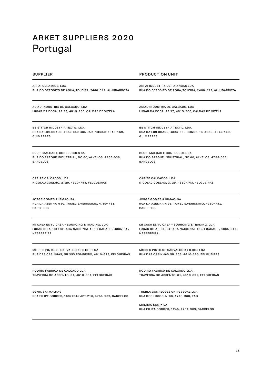# <span id="page-20-0"></span>arket suppliers 2020 Portugal

| <b>SUPPLIER</b>                                                              | <b>PRODUCTION UNIT</b>                                                                                                                            |
|------------------------------------------------------------------------------|---------------------------------------------------------------------------------------------------------------------------------------------------|
| ARFAI CERAMICS, LDA                                                          | ARFAI INDUSTRIA DE FAIANCAS LDA                                                                                                                   |
| RUA DO DEPOSITO DE AGUA, TOJEIRA, 2460-619, ALJUBARROTA                      | RUA DO DEPOSITO DE AGUA, TOJEIRA, 2460-619, ALJUBARROTA                                                                                           |
| ASIAL-INDUSTRIA DE CALCADO, LDA                                              | ASIAL-INDUSTRIA DE CALCADO, LDA                                                                                                                   |
| LUGAR DA BOCA, AP 97, 4815-906, CALDAS DE VIZELA                             | LUGAR DA BOCA, AP 97, 4815-906, CALDAS DE VIZELA                                                                                                  |
| BE STITCH INDUSTRIA TEXTIL, LDA.                                             | BE STITCH INDUSTRIA TEXTIL, LDA.                                                                                                                  |
| RUA DA LIBERDADE, 4835-559 GONDAR, NO:359, 4815-169,                         | RUA DA LIBERDADE, 4835-559 GONDAR, NO:359, 4815-169,                                                                                              |
| <b>GUIMARAES</b>                                                             | <b>GUIMARAES</b>                                                                                                                                  |
| BECRI MALHAS E CONFECCOES SA                                                 | BECRI MALHAS E CONFECCOES SA                                                                                                                      |
| RUA DO PARQUE INDUSTRIAL, NO 60, ALVELOS, 4755-036,                          | RUA DO PARQUE INDUSTRIAL, NO 60, ALVELOS, 4755-036,                                                                                               |
| <b>BARCELOS</b>                                                              | <b>BARCELOS</b>                                                                                                                                   |
| CARITE CALCADOS, LDA                                                         | CARITE CALCADOS, LDA                                                                                                                              |
| NICOLAU COELHO, 2729, 4610-743, FELGUEIRAS                                   | NICOLAU COELHO, 2729, 4610-743, FELGUEIRAS                                                                                                        |
| JORGE GOMES & IRMAO; SA                                                      | <b>JORGE GOMES &amp; IRMAO; SA</b>                                                                                                                |
| RUA DA AZENHA N 91, TAMEL S.VERISSIMO, 4750-731,                             | RUA DA AZENHA N 91, TAMEL S.VERISSIMO, 4750-731,                                                                                                  |
| <b>BARCELOS</b>                                                              | <b>BARCELOS</b>                                                                                                                                   |
| MI CASA ES TU CASA - SOURCING & TRADING, LDA                                 | <b>MI CASA ES TU CASA - SOURCING &amp; TRADING, LDA</b>                                                                                           |
| LUGAR DO ARCO ESTRADA NACIONAL 105, FRACAO F, 4835-517,                      | LUGAR DO ARCO ESTRADA NACIONAL 105, FRACAO F, 4835-517,                                                                                           |
| <b>NESPEREIRA</b>                                                            | <b>NESPEREIRA</b>                                                                                                                                 |
| MOISES PINTO DE CARVALHO & FILHOS LDA                                        | MOISES PINTO DE CARVALHO & FILHOS LDA                                                                                                             |
| RUA DAS CASINHAS, NR 353 POMBEIRO, 4610-623, FELGUEIRAS                      | RUA DAS CASINHAS NR. 353, 4610-623, FELGUEIRAS                                                                                                    |
| RODIRO FABRICA DE CALCADO LDA                                                | RODIRO FABRICA DE CALCADO LDA.                                                                                                                    |
| TRAVESSA DO ASSENTO, 61, 4610-504, FELGUEIRAS                                | TRAVESSA DO ASSENTO, 61, 4610-891, FELGUEIRAS                                                                                                     |
| SONIX SA; MALHAS<br>RUA FILIPE BORGES, 163/1245 APT. 216, 4754-909, BARCELOS | TREBLA CONFECOES UNIPESSOAL LDA.<br>RUA DOS LIRIOS, N. 68, 4740-368, FAO<br><b>MALHAS SONIX SA</b><br>RUA FILIPA BORGES, 1245, 4754-909, BARCELOS |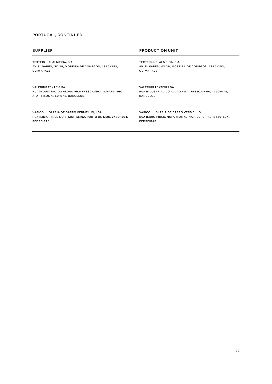### portugal, continued

| <b>SUPPLIER</b>                                           | <b>PRODUCTION UNIT</b>                                  |
|-----------------------------------------------------------|---------------------------------------------------------|
| TEXTEIS J. F. ALMEIDA, S.A.                               | TEXTEIS J. F. ALMEIDA, S.A.                             |
| AV. SILVARES, NO:39, MOREIRA DE CONEGOS, 4815-253,        | AV. SILVARES, NO:39, MOREIRA DE CONEGOS, 4815-253,      |
| <b>GUIMARAES</b>                                          | <b>GUIMARAES</b>                                        |
| <b>VALERIUS TEXTEIS SA</b>                                | <b>VALERIUS TEXTEIS LDA</b>                             |
| RUA INDUSTRIA, DO ALDAO VILA FRESCAINHA, S.MARTINHO       | RUA INDUSTRIAL DO ALDAO VILA, FRESCAINHA, 4750-078,     |
| APART 219, 4750-078, BARCELOS                             | <b>BARCELOS</b>                                         |
| VASICOL - OLARIA DE BARRO VERMELHO, LDA                   | VASICOL - OLARIA DE BARRO VERMELHO,                     |
| RUA ILIDIO PIRES NO:7, MOITALINA, PORTO DE MOS, 2480-104, | RUA ILIDIO PIRES, NO:7, MOITALINA, PEDREIRAS, 2480-104, |
| <b>PEDREIRAS</b>                                          | <b>PEDREIRAS</b>                                        |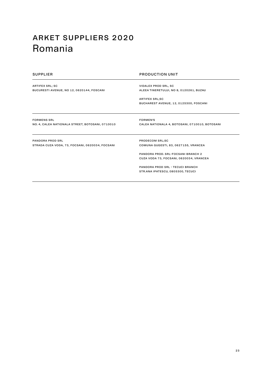## <span id="page-22-0"></span>arket suppliers 2020 Romania

| <b>SUPPLIER</b>                                  | <b>PRODUCTION UNIT</b>                         |
|--------------------------------------------------|------------------------------------------------|
| ARTIFEX SRL; SC                                  | <b>VIDALEX PROD SRL, SC</b>                    |
| BUCURESTI AVENUE, NO 12, 0620144, FOSCANI        | ALEEA TINERETULUI, NO 8, 0120261, BUZAU        |
|                                                  | <b>ARTIFEX SRL;SC</b>                          |
|                                                  | BUCHAREST AVENUE, 12, 0125300, FOSCANI         |
|                                                  |                                                |
| <b>FORMENS SRL</b>                               | <b>FORMEN'S</b>                                |
| NO. 4, CALEA NATIONALA STREET, BOTOSANI, 0710010 | CALEA NATIONALA 4, BOTOSANI, 0710010, BOTOSANI |
| <b>PANDORA PROD SRL</b>                          | PRODECOM SRL;SC                                |
| STRADA CUZA VODA, 73, FOCSANI, 0620034, FOCSANI  | COMUNA GUGESTI, 83, 0627155, VRANCEA           |
|                                                  | PANDORA PROD. SRL-FOCSANI BRANCH 2             |
|                                                  | CUZA VODA 73, FOCSANI, 0620034, VRANCEA        |
|                                                  | PANDORA PROD SRL - TECUCI BRANCH               |
|                                                  | STR.ANA IPATESCU, 0805300, TECUCI              |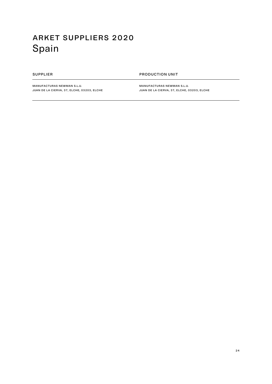# <span id="page-23-0"></span>arket suppliers 2020 Spain

### SUPPLIER PRODUCTION UNIT

MANUFACTURAS NEWMAN S.L.U. JUAN DE LA CIERVA, 37, ELCHE, 03203, ELCHE Manufacturas Newman S.L.U. JUAN DE LA CIERVA, 37, ELCHE, 03203, ELCHE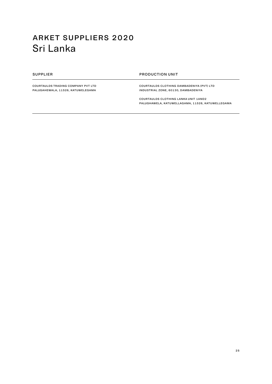## <span id="page-24-0"></span>arket suppliers 2020 Sri Lanka

### SUPPLIER **PRODUCTION UNIT**

COURTAULDS TRADING COMPANY PVT LTD PALUGAHEWALA, 11526, KATUWELEGAMA

Courtaulds Clothing Dambadeniya (Pvt) Ltd INDUSTRIAL ZONE, 60130, DAMBADENIYA

Courtaulds Clothing Lanka UNIT 1AND2 PALUGHAWELA, KATUWELLAGAMA, 11526, KATUWELLEGAMA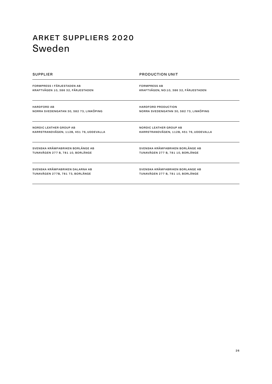## <span id="page-25-0"></span>arket suppliers 2020 Sweden

FORMPRESS I FÄRJESTADEN AB KRAFTVÄGEN 10, 386 32, FÄRJESTADEN

supplier production unit

HARDFORD PRODUCTION

NORDIC LEATHER GROUP AB

Formpress AB KRAFTVÄGEN, NO:10, 386 32, FÄRJESTADEN

NORRA SVEDENGATAN 30, 582 73, LINKÖPING

KARRSTRANDVÄGEN, 112B, 451 76, UDDEVALLA

HARDFORD AB NORRA SVEDENGATAN 30, 582 73, LINKÖPING

Nordic Leather Group AB KARRSTRANDVÄGEN, 112B, 451 76, UDDEVALLA

SVENSKA KRÄMFABRIKEN BORLÄNGE AB TUNAVÄGEN 277 B, 781 10, BORLÄNGE

SVENSKA KRÄMFABRIKEN BORLÄNGE AB TUNAVÄGEN 277 B, 781 10, BORLÄNGE

SVENSKA KRÄMFABRIKEN DALARNA AB TUNAVÄGEN 277B, 781 73, BORLÄNGE

SVENSKA KRÄMFABRIKEN BORLANGE AB TUNAVÄGEN 277 B, 781 10, BORLÄNGE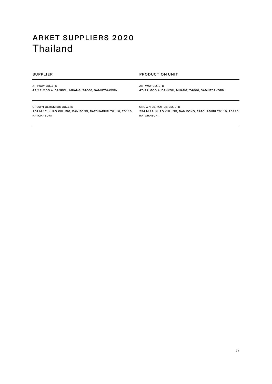## <span id="page-26-0"></span>arket suppliers 2020 Thailand

supplier production unit

**ARTWAY CO., LTD** 47/12 MOO 4, BANKOH, MUANG, 74000, SAMUTSAKORN **ARTWAY CO., LTD** 47/12 MOO 4, BANKOH, MUANG, 74000, SAMUTSAKORN

CROWN CERAMICS CO.,LTD 234 M.17, KHAO KHLUNG, BAN PONG, RATCHABURI 70110, 70110, RATCHABURI

CROWN CERAMICS CO.,LTD 234 M.17, KHAO KHLUNG, BAN PONG, RATCHABURI 70110, 70110, RATCHABURI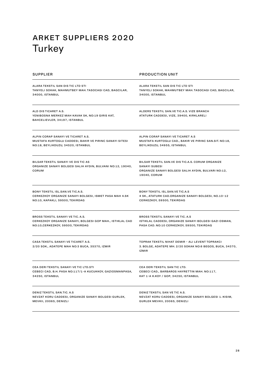# <span id="page-27-0"></span>arket suppliers 2020 Turkey

| <b>SUPPLIER</b>                                                                                            | <b>PRODUCTION UNIT</b>                                                                                                                           |
|------------------------------------------------------------------------------------------------------------|--------------------------------------------------------------------------------------------------------------------------------------------------|
| ALARA TEKSTIL SAN DIS TIC LTD STI                                                                          | ALARA TEKSTIL SAN DIS TIC LTD STI                                                                                                                |
| TANYELI SOKAK, MAHMUTBEY MAH. TASOCAGI CAD, BAGCILAR,                                                      | TANYELI SOKAK, MAHMUTBEY MAH. TASOCAGI CAD, BAGCILAR,                                                                                            |
| 34000, ISTANBUL                                                                                            | 34000, ISTANBUL                                                                                                                                  |
| ALD DIS TICARET A.S.<br>YENIBOSNA MERKEZ MAH KAVAK SK, NO:19 GIRIS KAT,<br>BAHCELIEVLER, 34197, ISTANBUL   | ALDERS TEKSTIL SAN.VE TIC.A.S. VIZE BRANCH<br>ATATURK CADDESI, VIZE, 39400, KIRKLARELI                                                           |
| ALPIN CORAP SANAYI VE TICARET A.S.                                                                         | ALPIN CORAP SANAYI VE TICARET A.S.                                                                                                               |
| MUSTAFA KURTOGLU CADDESI, BAKIR VE PIRINC SANAYI SITESI                                                    | MUSTAFA KURTOGLU CAD., BAKIR VE PIRINC SAN.SIT. NO:18,                                                                                           |
| NO:18, BEYLIKDUZU, 34520, ISTANBUL                                                                         | BEYLIKDUZU, 34955, ISTANBUL                                                                                                                      |
| BILSAR TEKSTIL SANAYI VE DIS TIC AS<br>ORGANIZE SANAYI BOLGESI SALIH AYDIN, BULVANI NO:12, 19040,<br>CORUM | BILSAR TEKSTIL SAN.VE DIS TIC.A.S. CORUM ORGANIZE<br><b>SANAYI SUBESI</b><br>ORGANIZE SANAYI BOLGESI SALIH AYDIN, BULVARI NO:12,<br>19040, CORUM |
| BONY TEKSTIL ISL.SAN.VE TIC.A.S.                                                                           | BONY TEKSTIL ISL.SAN.VE TIC.A.S                                                                                                                  |
| CERKEZKOY ORGANIZE SANAYI BOLGESI, ISMET PASA MAH 4.SK                                                     | 4 SK., ATATURK CAD.ORGANIZE SANAYI BOLGESI, NO.10-12                                                                                             |
| NO:10, KAPAKLI, 59500, TEKIRDAG                                                                            | CERKEZKOY, 59500, TEKIRDAG                                                                                                                       |
| BROSS TEKSTIL SANAYI VE TIC. A.S.                                                                          | <b>BROSS TEKSTIL SANAYI VE TIC. A.S</b>                                                                                                          |
| CERKEZKOY ORGANIZE SANAYI, BOLGESI GOP MAH., ISTIKLAL CAD                                                  | ISTIKLAL CADDESI, ORGANIZE SANAYI BOLGESI GAZI OSMAN,                                                                                            |
| NO:10,CERKEZKOY, 59500, TEKIRDAG                                                                           | PASA CAD. NO:10 CERKEZKOY, 59500, TEKIRDAG                                                                                                       |
| CASA TEKSTIL SANAYI VE TICARET A.S.<br>2/20 SOK., ADATEPE MAH NO:3 BUCA, 35370, IZMIR                      | TOPRAK TEKSTIL NIHAT DEMIR - ALI LEVENT TOPRAKCI<br>3. BOLGE, ADATEPE MH. 2/20 SOKAK NO:6 BEGOS, BUCA, 34370,<br><b>IZMIR</b>                    |
| CEA DERI TEKSTIL SANAYI VE TIC LTD.STI                                                                     | <b>CEA DERITEKSTIL SAN TIC LTD.</b>                                                                                                              |
| CEBECI CAD, B.H. PASA NO:117/1-A KUCUKKOY, GAZIOSMANPASA,                                                  | CEBECI CAD., BARBAROS HAYRETTIN MAH. NO:117,                                                                                                     |
| 34250, ISTANBUL                                                                                            | KAT 1-A K.KOY / GOP, 34250, ISTANBUL                                                                                                             |
| DENIZ TEKSTIL SAN.TIC. A.S.                                                                                | DENIZ TEKSTIL SAN VE TIC A.S.                                                                                                                    |
| NEVZAT KORU CADDESI, ORGANIZE SANAYI BOLGESI GURLEK,                                                       | NEVZAT KORU CADDESI, ORGANIZE SANAYI BOLGESI 1. KISIM,                                                                                           |
| MEVKII, 20065, DENIZLI                                                                                     | GURLEK MEVKII, 20065, DENIZLI                                                                                                                    |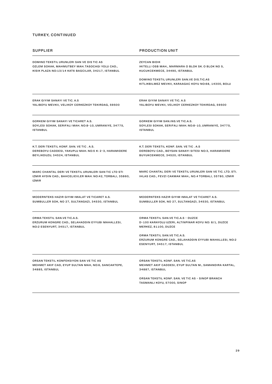### turkey, continued

| SUPPLIER                                                                                                                                                   | <b>PRODUCTION UNIT</b>                                                                                                             |
|------------------------------------------------------------------------------------------------------------------------------------------------------------|------------------------------------------------------------------------------------------------------------------------------------|
| <b>DOMINO TEKSTIL URUNLERI SAN VE DIS TIC AS</b><br>OZLEM SOKAK, MAHMUTBEY MAH. TASOCAGI YOLU CAD.,<br>KISIK PLAZA NO:13/14 KAT6 BAGCILAR, 34217, ISTANBUL | <b>ZEYCAN BIDIK</b><br>IKITELLI OSB MAH., MARMARA O BLOK SK. O BLOK NO 5,<br>KUCUKCEKMECE, 34490, ISTANBUL                         |
|                                                                                                                                                            | DOMINO TEKSTIL URUNLERI SAN.VE DIS.TIC.AS<br>KITLIKBILMEZ MEVKII, KARAAGAC KOYU NO:68, 14300, BOLU                                 |
| ERAK GIYIM SANAYI VE TIC. A.S<br>YALIBOYU MEVKII, VELIKOY CERKEZKOY TEKIRDAG, 59500                                                                        | ERAK GIYIM SANAYI VE TIC. A.S<br>YALIBOYU MEVKII, VELIKOY CERKEZKOY TEKIRDAG, 59500                                                |
| GORKEM GIYIM SANAYI VE TICARET A.S.<br>SOYLESI SOKAK, SERIFALI MAH. NO:8-10, UMRANIYE, 34775,<br><b>ISTANBUL</b>                                           | GORKEM GIYIM SAN.INS.VE TIC.A.S.<br>SOYLESI SOKAK, SERIFALI MAH. NO:8-10, UMRANIYE, 34775,<br><b>ISTANBUL</b>                      |
| K.T. DERI TEKSTIL KONF. SAN. VE TIC . A.S.<br>DEREBOYU CADDESI, YAKUPLU MAH. NO:5 K: 2-3, HARAMIDERE<br>BEYLIKDUZU, 34524, ISTANBUL                        | K.T. DERI TEKSTIL KONF. SAN. VE TIC . A.S<br>DEREBOYU CAD., BEYSAN SANAYI SITESI NO:3, HARAMIDERE<br>BUYUKCEKMECE, 34520, ISTANBUL |
| MARC CHANTAL DERI VE TEKSTIL URUNLERI SAN TIC LTD STI<br>IZMIR AYDIN CAD., BAHCELIEVLER MAH. NO:42, TORBALI, 35860,<br><b>IZMIR</b>                        | MARC CHANTAL DERI VE TEKSTIL URUNLERI SAN VE TIC. LTD. STI.<br>IHLAS CAD., FEVZI CAKMAK MAH., NO.4 TORBALI, 35780, IZMIR           |
| MODERNTEKS HAZIR GIYIM IMALAT VE TICARET A.S.<br>SUMBULLER SOK, NO 27, SULTANGAZI, 34530, ISTANBUL                                                         | MODERNTEKS HAZIR GIYIM IMALAT VE TICARET A.S.<br>SUMBULLER SOK, NO 27, SULTANGAZI, 34530, ISTANBUL                                 |
| ORMA TEKSTIL SAN.VE TIC.A.S.<br>ERZURUM KONGRE CAD., SELAHADDIN EYYUBI MAHALLESI,<br>NO:2 ESENYURT, 34517, ISTANBUL                                        | ORMA TEKSTIL SAN.VE TIC.A.S - DUZCE<br>D-100 KARAYOLU UZERI, ALTINPINAR KOYU NO: 8/1, DUZCE<br>MERKEZ, 81100, DUZCE                |
|                                                                                                                                                            | ORMA TEKSTIL SAN.VE TIC.A.S.<br>ERZURUM KONGRE CAD., SELAHADDIN EYYUBI MAHALLESI, NO:2<br>ESENYURT, 34517, ISTANBUL                |
| ORSAN TEKSTIL KONFEKSIYON SAN VE TIC AS<br>MEHMET AKIF CAD, EYUP SULTAN MAH, NO:6, SANCAKTEPE,<br>34885, ISTANBUL                                          | ORSAN TEKSTIL KONF. SAN. VE TIC.AS<br>MEHMET AKIF CADDESI, EYUP SULTAN M., SAMANDIRA KARTAL,<br>34887, ISTANBUL                    |
|                                                                                                                                                            | ORSAN TEKSTIL KONF. SAN. VE TIC AS - SINOP BRANCH<br>TASMANLI KOYU, 57000, SINOP                                                   |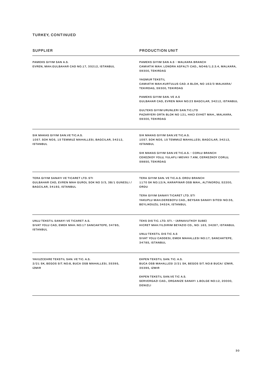### turkey, continued

| <b>SUPPLIER</b>                                                                                                                | <b>PRODUCTION UNIT</b>                                                                                                      |
|--------------------------------------------------------------------------------------------------------------------------------|-----------------------------------------------------------------------------------------------------------------------------|
| PAMEKS GIYIM SAN A.S.<br>EVREN, MAH.GULBAHAR CAD NO.17, 35212, ISTANBUL                                                        | PAMEKS GIYIM SAN A.S - MALKARA BRANCH<br>CAMIATIK MAH. LONDRA ASFALTI CAD., NO46/1.2.3.4, MALKARA,<br>59300, TEKIRDAG       |
|                                                                                                                                | YAGMUR TEKSTIL<br>CAMIATIK MAH.KURTULUS CAD. A BLOK, NO 162/3 MALKARA/<br>TEKIRDAG, 59300, TEKIRDAG                         |
|                                                                                                                                | PAMEKS GIYIM SAN, VE A.S.<br>GULBAHAR CAD, EVREN MAH NO:23 BAGCILAR, 34212, ISTANBUL                                        |
|                                                                                                                                | GULTEKS GIYIM URUNLERI SAN.TIC.LTD<br>PAZARYERI ORTA BLOK NO 121, HACI EVHET MAH., MALKARA,<br>59300, TEKIRDAG              |
| SIK MAKAS GIYIM SAN.VE TIC.A.S.<br>1057. SOK NO5, 15 TEMMUZ MAHALLESI, BAGCILAR, 34212,<br><b>ISTANBUL</b>                     | SIK MAKAS GIYIM SAN. VE TIC.A.S.<br>1057. SOK NO5, 15 TEMMUZ MAHALLESI, BAGCILAR, 34212,<br><b>ISTANBUL</b>                 |
|                                                                                                                                | SIK MAKAS GIYIM SAN.VE TIC.A.S. - CORLU BRANCH<br>CEKEZKOY YOLU, YULAFLI MEVKII 7.KM, CERKEZKOY CORLU,<br>59850, TEKIRDAG   |
| TERA GIYIM SANAYI VE TICARET LTD. STI<br>GULBAHAR CAD, EVREN MAH GUROL SOK NO 3/3, 3B/1 GUNESLI /<br>BAGCILAR, 34192, ISTANBUL | TERA GIYIM SAN. VE TIC.A.S. ORDU BRANCH<br>1170 SK NO:12/A, KARAPINAR OSB MAH., ALTINORDU, 52200,<br>ORDU                   |
|                                                                                                                                | TERA GIYIM SANAYI TICARET LTD. STI<br>YAKUPLU MAH.DEREBOYU CAD., BEYSAN SANAYI SITESI NO:35,<br>BEYLIKDUZU, 34524, ISTANBUL |
| UNLU TEKSTIL SANAYI VE TICARET A.S.<br>SIVAT YOLU CAD, EMEK MAH. NO:17 SANCAKTEPE, 34785,<br><b>ISTANBUL</b>                   | TEKS DIS TIC. LTD. STI. - (ARNAVUTKOY SUBE)<br>HICRET MAH. YILDIRIM BEYAZID CD., NO: 163, 34287, ISTANBUL                   |
|                                                                                                                                | UNLU TEKSTIL DIS TIC A.S.<br>SIVAT YOLU CADDESI, EMEK MAHALLESI NO:17, SANCAKTEPE,<br>34785, ISTANBUL                       |
| YAVUZCEHRE TEKSTIL SAN, VE TIC, A.S.<br>2/21 SK, BEGOS SIT. NO:8, BUCA OSB MAHALLESI, 35395,<br><b>IZMIR</b>                   | EKPEN TEKSTIL SAN. TIC. A.S.<br>BUCA OSB MAHALLESI 2/21 SK, BEGOS SIT. NO:8 BUCA/ IZMIR,<br>35395, IZMIR                    |
|                                                                                                                                | EKPEN TEKSTIL SAN.VE TIC A.S.<br>SERVERGAZI CAD., ORGANIZE SANAYI 1.BOLGE NO:12, 20000,<br>DENIZLI                          |